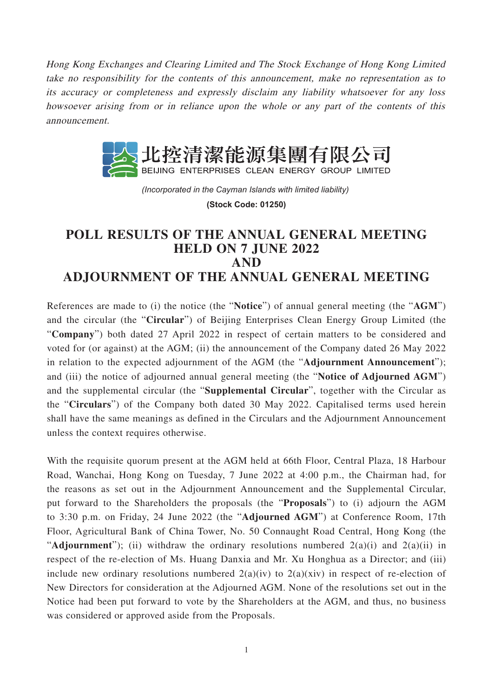Hong Kong Exchanges and Clearing Limited and The Stock Exchange of Hong Kong Limited take no responsibility for the contents of this announcement, make no representation as to its accuracy or completeness and expressly disclaim any liability whatsoever for any loss howsoever arising from or in reliance upon the whole or any part of the contents of this announcement.



*(Incorporated in the Cayman Islands with limited liability)*  **(Stock Code: 01250)**

## **POLL RESULTS OF THE ANNUAL GENERAL MEETING HELD ON 7 JUNE 2022 AND ADJOURNMENT OF THE ANNUAL GENERAL MEETING**

References are made to (i) the notice (the "**Notice**") of annual general meeting (the "**AGM**") and the circular (the "**Circular**") of Beijing Enterprises Clean Energy Group Limited (the "**Company**") both dated 27 April 2022 in respect of certain matters to be considered and voted for (or against) at the AGM; (ii) the announcement of the Company dated 26 May 2022 in relation to the expected adjournment of the AGM (the "**Adjournment Announcement**"); and (iii) the notice of adjourned annual general meeting (the "**Notice of Adjourned AGM**") and the supplemental circular (the "**Supplemental Circular**", together with the Circular as the "**Circulars**") of the Company both dated 30 May 2022. Capitalised terms used herein shall have the same meanings as defined in the Circulars and the Adjournment Announcement unless the context requires otherwise.

With the requisite quorum present at the AGM held at 66th Floor, Central Plaza, 18 Harbour Road, Wanchai, Hong Kong on Tuesday, 7 June 2022 at 4:00 p.m., the Chairman had, for the reasons as set out in the Adjournment Announcement and the Supplemental Circular, put forward to the Shareholders the proposals (the "**Proposals**") to (i) adjourn the AGM to 3:30 p.m. on Friday, 24 June 2022 (the "**Adjourned AGM**") at Conference Room, 17th Floor, Agricultural Bank of China Tower, No. 50 Connaught Road Central, Hong Kong (the "**Adjournment**"); (ii) withdraw the ordinary resolutions numbered 2(a)(i) and 2(a)(ii) in respect of the re-election of Ms. Huang Danxia and Mr. Xu Honghua as a Director; and (iii) include new ordinary resolutions numbered  $2(a)(iv)$  to  $2(a)(xiv)$  in respect of re-election of New Directors for consideration at the Adjourned AGM. None of the resolutions set out in the Notice had been put forward to vote by the Shareholders at the AGM, and thus, no business was considered or approved aside from the Proposals.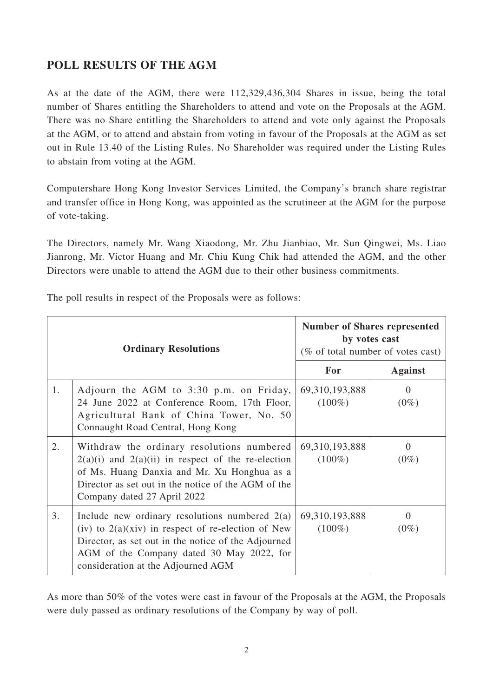## **POLL RESULTS OF THE AGM**

As at the date of the AGM, there were 112,329,436,304 Shares in issue, being the total number of Shares entitling the Shareholders to attend and vote on the Proposals at the AGM. There was no Share entitling the Shareholders to attend and vote only against the Proposals at the AGM, or to attend and abstain from voting in favour of the Proposals at the AGM as set out in Rule 13.40 of the Listing Rules. No Shareholder was required under the Listing Rules to abstain from voting at the AGM.

Computershare Hong Kong Investor Services Limited, the Company's branch share registrar and transfer office in Hong Kong, was appointed as the scrutineer at the AGM for the purpose of vote-taking.

The Directors, namely Mr. Wang Xiaodong, Mr. Zhu Jianbiao, Mr. Sun Qingwei, Ms. Liao Jianrong, Mr. Victor Huang and Mr. Chiu Kung Chik had attended the AGM, and the other Directors were unable to attend the AGM due to their other business commitments.

|  |  |  | The poll results in respect of the Proposals were as follows: |  |  |
|--|--|--|---------------------------------------------------------------|--|--|
|  |  |  |                                                               |  |  |

|    | <b>Ordinary Resolutions</b>                                                                                                                                                                                                                           | <b>Number of Shares represented</b><br>by votes cast<br>(% of total number of votes cast) |                     |  |  |
|----|-------------------------------------------------------------------------------------------------------------------------------------------------------------------------------------------------------------------------------------------------------|-------------------------------------------------------------------------------------------|---------------------|--|--|
|    |                                                                                                                                                                                                                                                       | For                                                                                       | <b>Against</b>      |  |  |
| 1. | Adjourn the AGM to 3:30 p.m. on Friday,<br>24 June 2022 at Conference Room, 17th Floor,<br>Agricultural Bank of China Tower, No. 50<br>Connaught Road Central, Hong Kong                                                                              | 69, 310, 193, 888<br>$(100\%)$                                                            | $\Omega$<br>$(0\%)$ |  |  |
| 2. | Withdraw the ordinary resolutions numbered<br>$2(a)(i)$ and $2(a)(ii)$ in respect of the re-election<br>of Ms. Huang Danxia and Mr. Xu Honghua as a<br>Director as set out in the notice of the AGM of the<br>Company dated 27 April 2022             | 69, 310, 193, 888<br>$(100\%)$                                                            | $\Omega$<br>$(0\%)$ |  |  |
| 3. | Include new ordinary resolutions numbered $2(a)$<br>(iv) to $2(a)(\dot{x}$ in respect of re-election of New<br>Director, as set out in the notice of the Adjourned<br>AGM of the Company dated 30 May 2022, for<br>consideration at the Adjourned AGM | 69, 310, 193, 888<br>$(100\%)$                                                            | $\Omega$<br>$(0\%)$ |  |  |

As more than 50% of the votes were cast in favour of the Proposals at the AGM, the Proposals were duly passed as ordinary resolutions of the Company by way of poll.